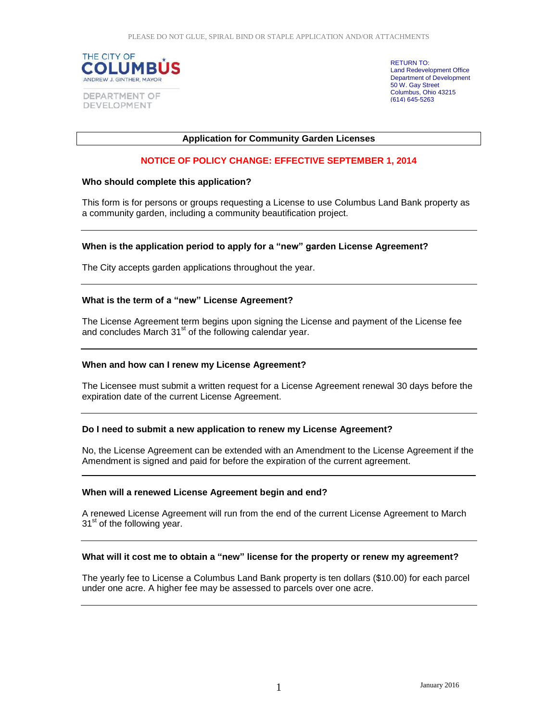

RETURN TO: Land Redevelopment Office Department of Development 50 W. Gay Street Columbus, Ohio 43215 (614) 645-5263

# **Application for Community Garden Licenses**

# **NOTICE OF POLICY CHANGE: EFFECTIVE SEPTEMBER 1, 2014**

#### **Who should complete this application?**

This form is for persons or groups requesting a License to use Columbus Land Bank property as a community garden, including a community beautification project.

# **When is the application period to apply for a "new" garden License Agreement?**

The City accepts garden applications throughout the year.

#### **What is the term of a "new" License Agreement?**

The License Agreement term begins upon signing the License and payment of the License fee and concludes March 31<sup>st</sup> of the following calendar year.

#### **When and how can I renew my License Agreement?**

The Licensee must submit a written request for a License Agreement renewal 30 days before the expiration date of the current License Agreement.

# **Do I need to submit a new application to renew my License Agreement?**

No, the License Agreement can be extended with an Amendment to the License Agreement if the Amendment is signed and paid for before the expiration of the current agreement.

#### **When will a renewed License Agreement begin and end?**

A renewed License Agreement will run from the end of the current License Agreement to March 31<sup>st</sup> of the following year.

# **What will it cost me to obtain a "new" license for the property or renew my agreement?**

The yearly fee to License a Columbus Land Bank property is ten dollars (\$10.00) for each parcel under one acre. A higher fee may be assessed to parcels over one acre.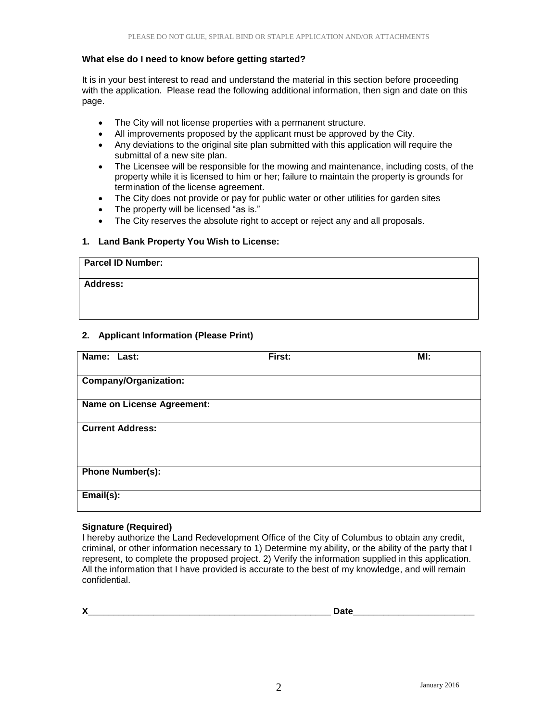# **What else do I need to know before getting started?**

It is in your best interest to read and understand the material in this section before proceeding with the application. Please read the following additional information, then sign and date on this page.

- The City will not license properties with a permanent structure.
- All improvements proposed by the applicant must be approved by the City.
- Any deviations to the original site plan submitted with this application will require the submittal of a new site plan.
- The Licensee will be responsible for the mowing and maintenance, including costs, of the property while it is licensed to him or her; failure to maintain the property is grounds for termination of the license agreement.
- The City does not provide or pay for public water or other utilities for garden sites
- The property will be licensed "as is."
- The City reserves the absolute right to accept or reject any and all proposals.

# **1. Land Bank Property You Wish to License:**

| <b>Parcel ID Number:</b> |  |
|--------------------------|--|
| <b>Address:</b>          |  |
|                          |  |
|                          |  |

# **2. Applicant Information (Please Print)**

| Name: Last:                       | First: | MI: |
|-----------------------------------|--------|-----|
| <b>Company/Organization:</b>      |        |     |
| <b>Name on License Agreement:</b> |        |     |
| <b>Current Address:</b>           |        |     |
| <b>Phone Number(s):</b>           |        |     |
| $Email(s)$ :                      |        |     |

# **Signature (Required)**

I hereby authorize the Land Redevelopment Office of the City of Columbus to obtain any credit, criminal, or other information necessary to 1) Determine my ability, or the ability of the party that I represent, to complete the proposed project. 2) Verify the information supplied in this application. All the information that I have provided is accurate to the best of my knowledge, and will remain confidential.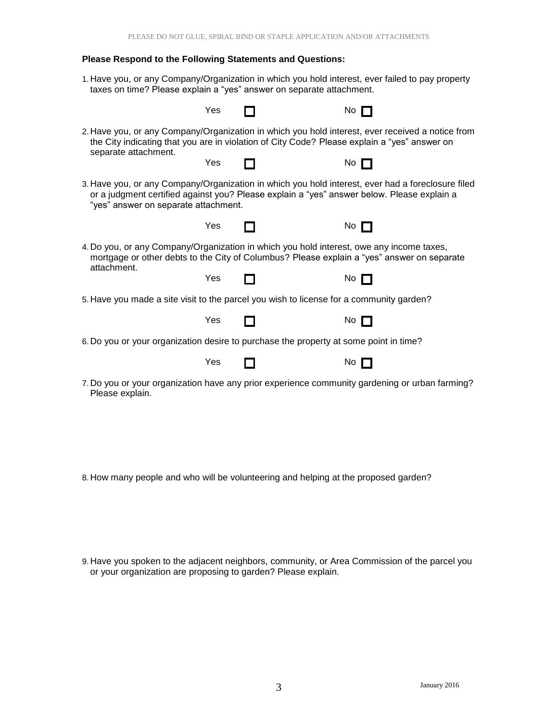# **Please Respond to the Following Statements and Questions:**

1. Have you, or any Company/Organization in which you hold interest, ever failed to pay property taxes on time? Please explain a "yes" answer on separate attachment.

|                                                                                                                                                                                                                                         | Yes |  | No l        |  |  |
|-----------------------------------------------------------------------------------------------------------------------------------------------------------------------------------------------------------------------------------------|-----|--|-------------|--|--|
| 2. Have you, or any Company/Organization in which you hold interest, ever received a notice from<br>the City indicating that you are in violation of City Code? Please explain a "yes" answer on                                        |     |  |             |  |  |
| separate attachment.                                                                                                                                                                                                                    | Yes |  | $No$ $\Box$ |  |  |
| 3. Have you, or any Company/Organization in which you hold interest, ever had a foreclosure filed<br>or a judgment certified against you? Please explain a "yes" answer below. Please explain a<br>"yes" answer on separate attachment. |     |  |             |  |  |
|                                                                                                                                                                                                                                         | Yes |  | No $\Box$   |  |  |
| 4. Do you, or any Company/Organization in which you hold interest, owe any income taxes,<br>mortgage or other debts to the City of Columbus? Please explain a "yes" answer on separate<br>attachment.                                   |     |  |             |  |  |
|                                                                                                                                                                                                                                         | Yes |  | No $\Box$   |  |  |
| 5. Have you made a site visit to the parcel you wish to license for a community garden?                                                                                                                                                 |     |  |             |  |  |
|                                                                                                                                                                                                                                         | Yes |  | No $\Box$   |  |  |
| 6. Do you or your organization desire to purchase the property at some point in time?                                                                                                                                                   |     |  |             |  |  |
|                                                                                                                                                                                                                                         | Yes |  | No $\Box$   |  |  |
| 7. Do you or your organization have any prior experience community gardening or urban farming?<br>Please explain.                                                                                                                       |     |  |             |  |  |

8. How many people and who will be volunteering and helping at the proposed garden?

<sup>9.</sup> Have you spoken to the adjacent neighbors, community, or Area Commission of the parcel you or your organization are proposing to garden? Please explain.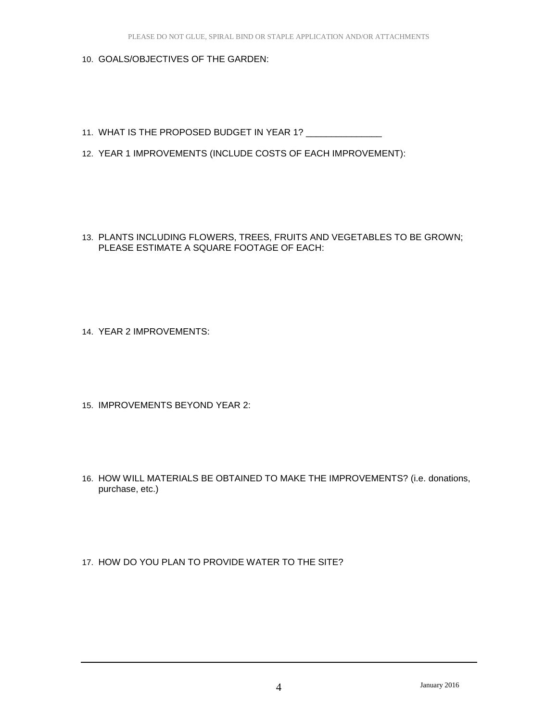- 10. GOALS/OBJECTIVES OF THE GARDEN:
- 11. WHAT IS THE PROPOSED BUDGET IN YEAR 1? \_\_\_\_\_\_\_\_\_\_\_\_
- 12. YEAR 1 IMPROVEMENTS (INCLUDE COSTS OF EACH IMPROVEMENT):
- 13. PLANTS INCLUDING FLOWERS, TREES, FRUITS AND VEGETABLES TO BE GROWN; PLEASE ESTIMATE A SQUARE FOOTAGE OF EACH:

14. YEAR 2 IMPROVEMENTS:

- 15. IMPROVEMENTS BEYOND YEAR 2:
- 16. HOW WILL MATERIALS BE OBTAINED TO MAKE THE IMPROVEMENTS? (i.e. donations, purchase, etc.)
- 17. HOW DO YOU PLAN TO PROVIDE WATER TO THE SITE?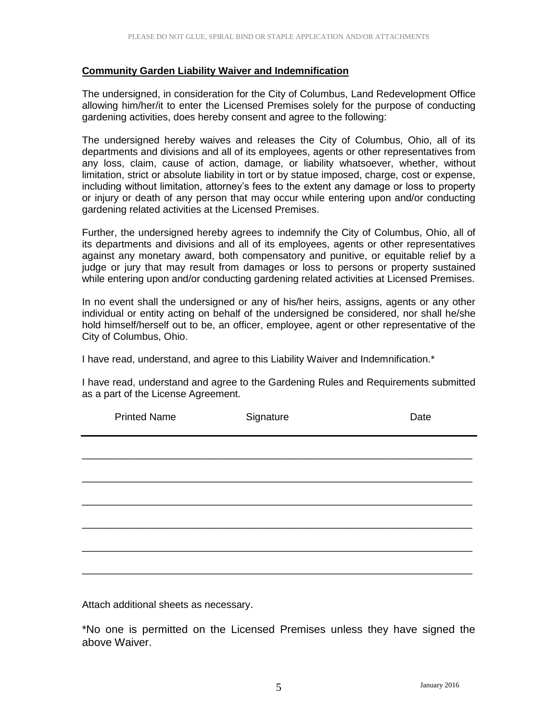# **Community Garden Liability Waiver and Indemnification**

The undersigned, in consideration for the City of Columbus, Land Redevelopment Office allowing him/her/it to enter the Licensed Premises solely for the purpose of conducting gardening activities, does hereby consent and agree to the following:

The undersigned hereby waives and releases the City of Columbus, Ohio, all of its departments and divisions and all of its employees, agents or other representatives from any loss, claim, cause of action, damage, or liability whatsoever, whether, without limitation, strict or absolute liability in tort or by statue imposed, charge, cost or expense, including without limitation, attorney's fees to the extent any damage or loss to property or injury or death of any person that may occur while entering upon and/or conducting gardening related activities at the Licensed Premises.

Further, the undersigned hereby agrees to indemnify the City of Columbus, Ohio, all of its departments and divisions and all of its employees, agents or other representatives against any monetary award, both compensatory and punitive, or equitable relief by a judge or jury that may result from damages or loss to persons or property sustained while entering upon and/or conducting gardening related activities at Licensed Premises.

In no event shall the undersigned or any of his/her heirs, assigns, agents or any other individual or entity acting on behalf of the undersigned be considered, nor shall he/she hold himself/herself out to be, an officer, employee, agent or other representative of the City of Columbus, Ohio.

I have read, understand, and agree to this Liability Waiver and Indemnification.\*

I have read, understand and agree to the Gardening Rules and Requirements submitted as a part of the License Agreement.

| <b>Printed Name</b> | Signature | Date |
|---------------------|-----------|------|
|                     |           |      |
|                     |           |      |
|                     |           |      |
|                     |           |      |
|                     |           |      |
|                     |           |      |

Attach additional sheets as necessary.

\*No one is permitted on the Licensed Premises unless they have signed the above Waiver.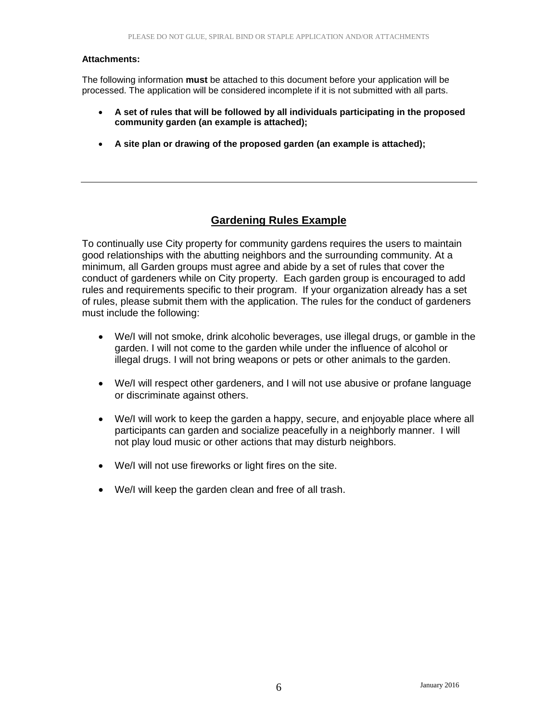#### **Attachments:**

The following information **must** be attached to this document before your application will be processed. The application will be considered incomplete if it is not submitted with all parts.

- **A set of rules that will be followed by all individuals participating in the proposed community garden (an example is attached);**
- **A site plan or drawing of the proposed garden (an example is attached);**

# **Gardening Rules Example**

To continually use City property for community gardens requires the users to maintain good relationships with the abutting neighbors and the surrounding community. At a minimum, all Garden groups must agree and abide by a set of rules that cover the conduct of gardeners while on City property. Each garden group is encouraged to add rules and requirements specific to their program. If your organization already has a set of rules, please submit them with the application. The rules for the conduct of gardeners must include the following:

- We/I will not smoke, drink alcoholic beverages, use illegal drugs, or gamble in the garden. I will not come to the garden while under the influence of alcohol or illegal drugs. I will not bring weapons or pets or other animals to the garden.
- We/I will respect other gardeners, and I will not use abusive or profane language or discriminate against others.
- We/I will work to keep the garden a happy, secure, and enjoyable place where all participants can garden and socialize peacefully in a neighborly manner. I will not play loud music or other actions that may disturb neighbors.
- We/I will not use fireworks or light fires on the site.
- We/I will keep the garden clean and free of all trash.